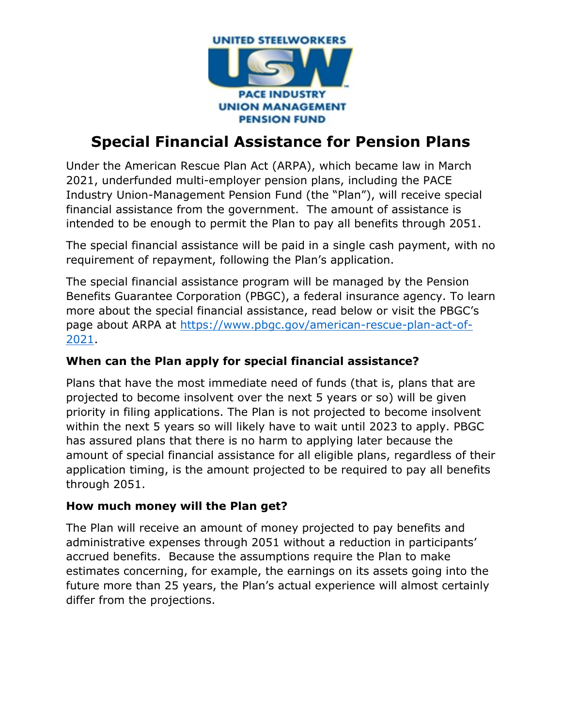

# **Special Financial Assistance for Pension Plans**

Under the American Rescue Plan Act (ARPA), which became law in March 2021, underfunded multi-employer pension plans, including the PACE Industry Union-Management Pension Fund (the "Plan"), will receive special financial assistance from the government. The amount of assistance is intended to be enough to permit the Plan to pay all benefits through 2051.

The special financial assistance will be paid in a single cash payment, with no requirement of repayment, following the Plan's application.

The special financial assistance program will be managed by the Pension Benefits Guarantee Corporation (PBGC), a federal insurance agency. To learn more about the special financial assistance, read below or visit the PBGC's page about ARPA at [https://www.pbgc.gov/american-rescue-plan-act-of-](https://www.pbgc.gov/american-rescue-plan-act-of-2021)[2021.](https://www.pbgc.gov/american-rescue-plan-act-of-2021)

## **When can the Plan apply for special financial assistance?**

Plans that have the most immediate need of funds (that is, plans that are projected to become insolvent over the next 5 years or so) will be given priority in filing applications. The Plan is not projected to become insolvent within the next 5 years so will likely have to wait until 2023 to apply. PBGC has assured plans that there is no harm to applying later because the amount of special financial assistance for all eligible plans, regardless of their application timing, is the amount projected to be required to pay all benefits through 2051.

### **How much money will the Plan get?**

The Plan will receive an amount of money projected to pay benefits and administrative expenses through 2051 without a reduction in participants' accrued benefits. Because the assumptions require the Plan to make estimates concerning, for example, the earnings on its assets going into the future more than 25 years, the Plan's actual experience will almost certainly differ from the projections.